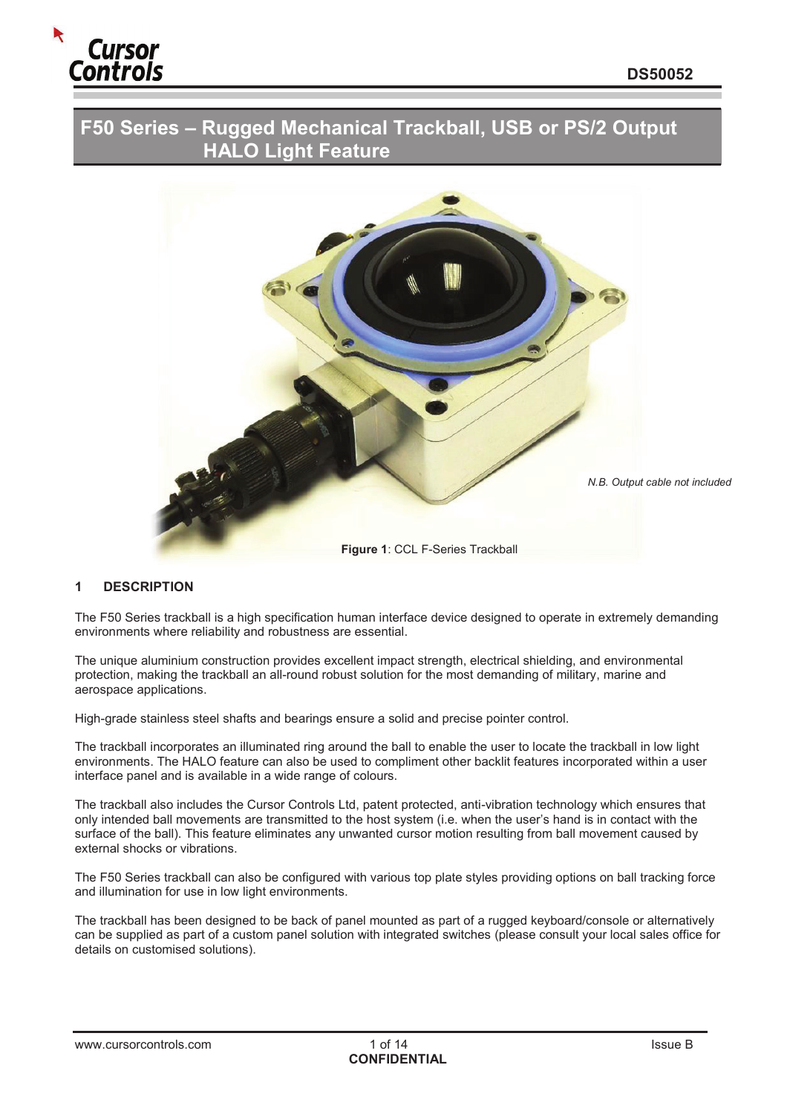

# **F50 Series – Rugged Mechanical Trackball, USB or PS/2 Output HALO Light Feature**



# **1 DESCRIPTION**

The F50 Series trackball is a high specification human interface device designed to operate in extremely demanding environments where reliability and robustness are essential.

The unique aluminium construction provides excellent impact strength, electrical shielding, and environmental protection, making the trackball an all-round robust solution for the most demanding of military, marine and aerospace applications.

High-grade stainless steel shafts and bearings ensure a solid and precise pointer control.

The trackball incorporates an illuminated ring around the ball to enable the user to locate the trackball in low light environments. The HALO feature can also be used to compliment other backlit features incorporated within a user interface panel and is available in a wide range of colours.

The trackball also includes the Cursor Controls Ltd, patent protected, anti-vibration technology which ensures that only intended ball movements are transmitted to the host system (i.e. when the user's hand is in contact with the surface of the ball). This feature eliminates any unwanted cursor motion resulting from ball movement caused by external shocks or vibrations.

The F50 Series trackball can also be configured with various top plate styles providing options on ball tracking force and illumination for use in low light environments.

The trackball has been designed to be back of panel mounted as part of a rugged keyboard/console or alternatively can be supplied as part of a custom panel solution with integrated switches (please consult your local sales office for details on customised solutions).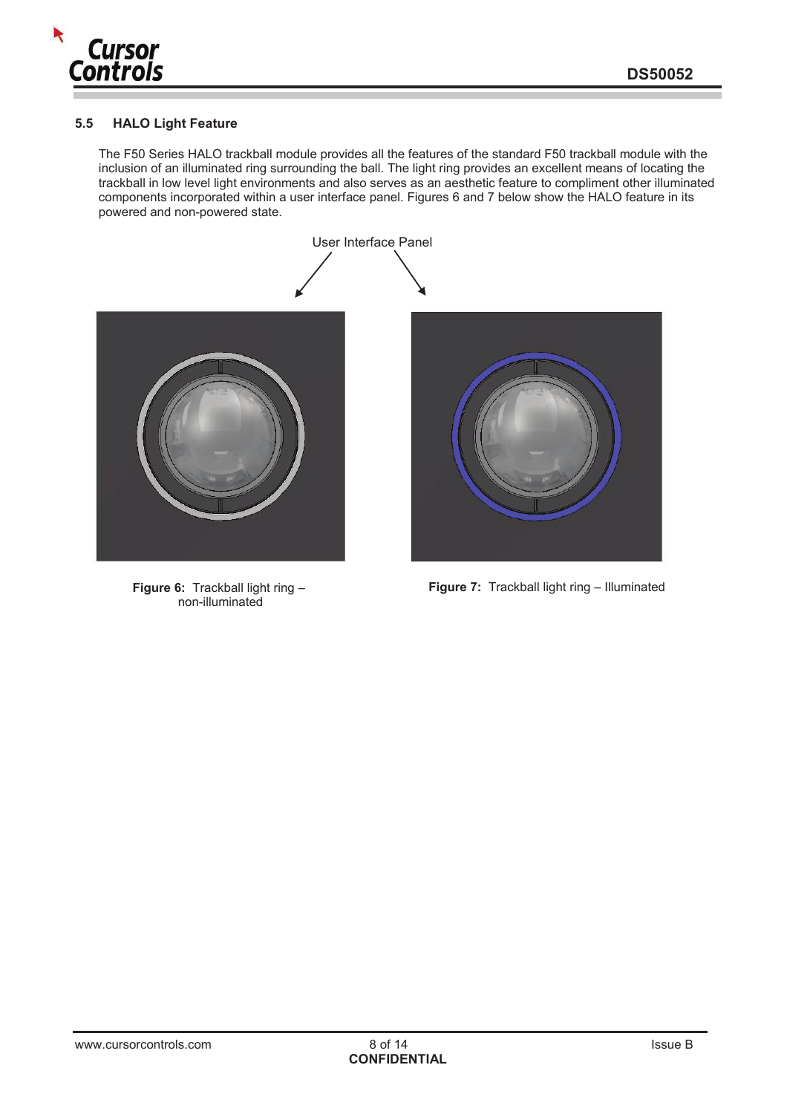

#### **5.5 HALO Light Feature**

The F50 Series HALO trackball module provides all the features of the standard F50 trackball module with the inclusion of an illuminated ring surrounding the ball. The light ring provides an excellent means of locating the trackball in low level light environments and also serves as an aesthetic feature to compliment other illuminated components incorporated within a user interface panel. Figures 6 and 7 below show the HALO feature in its powered and non-powered state.



**Figure 6:** Trackball light ring – non-illuminated

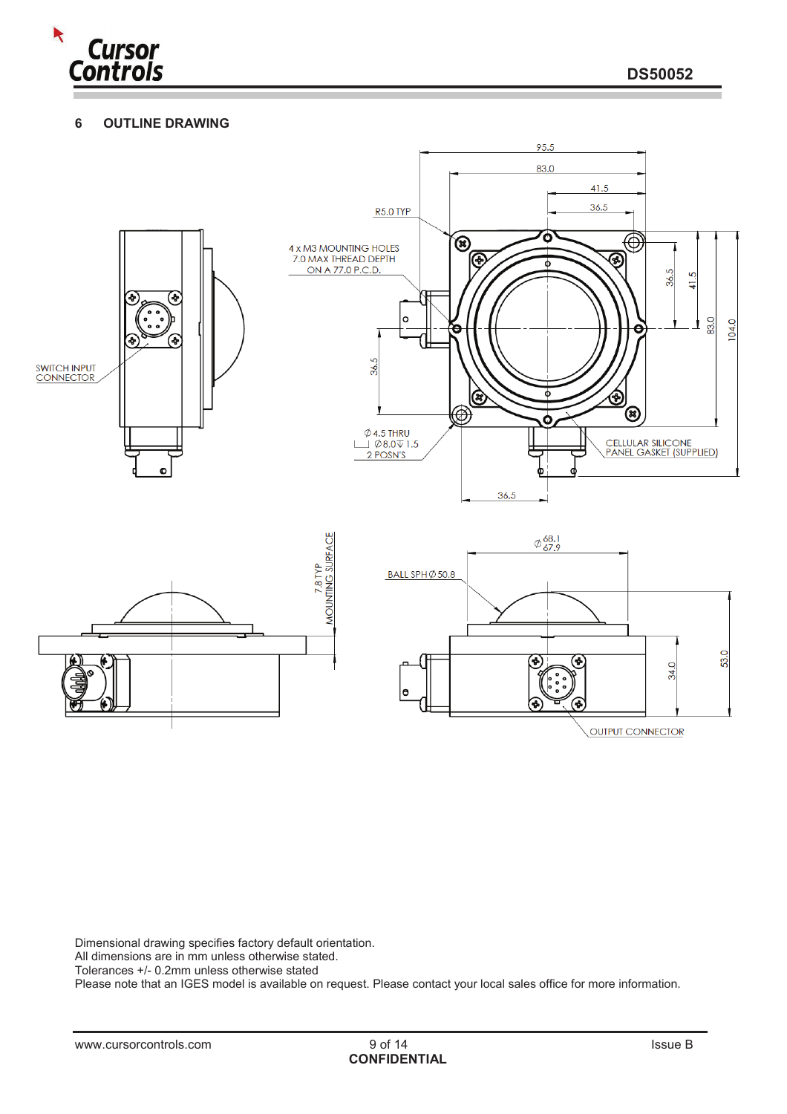

# **6 OUTLINE DRAWING**



Dimensional drawing specifies factory default orientation.

All dimensions are in mm unless otherwise stated.

Tolerances +/- 0.2mm unless otherwise stated

Please note that an IGES model is available on request. Please contact your local sales office for more information.